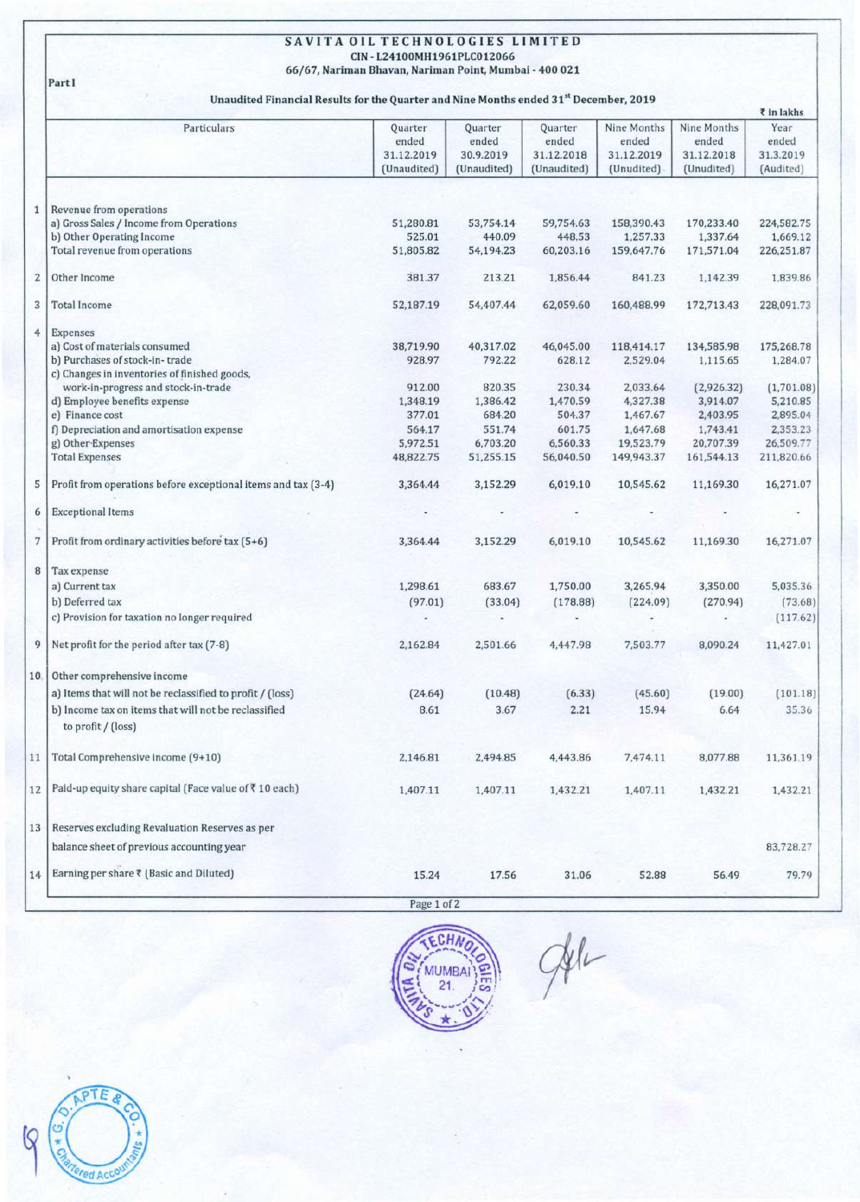## SAVITA OIL TECHNOLOGIES **LIMITED** CIN - L24100MH1961PLC012066 66/67, Nariman Bhavan, Nariman Point, Mumbai - 400021

Part!

## Unaudited Financial Results for the Quarter and Nine Months ended 31<sup>st</sup> December, 2019

| Particulars<br>Nine Months<br>Nine Months<br>Quarter<br>Quarter<br>Quarter<br>ended<br>ended<br>ended<br>ended<br>ended<br>31.12.2019<br>30.9.2019<br>31.12.2018<br>31.12.2019<br>31.12.2018<br>(Unaudited)<br>(Unaudited)<br>(Unaudited)<br>(Unudited)<br>(Unudited)<br>Revenue from operations<br>a) Gross Sales / Income from Operations<br>51,280.81<br>53,754.14<br>59,754.63<br>158,390.43<br>170,233.40<br>b) Other Operating Income<br>525.01<br>440.09<br>448.53<br>1,257.33<br>1,337.64<br>Total revenue from operations<br>51,805.82<br>54,194.23<br>60,203.16<br>159,647.76<br>171,571.04<br>Other Income<br>381.37<br>213.21<br>1,856.44<br>841.23<br>1,142.39<br><b>Total Income</b><br>52,187.19<br>54,407.44<br>62,059.60<br>160,488.99<br>172,713.43<br>Expenses<br>a) Cost of materials consumed<br>40,317.02<br>38,719.90<br>46,045.00<br>118,414.17<br>134,585.98<br>b) Purchases of stock-in-trade<br>792.22<br>928.97<br>2,529.04<br>628.12<br>1,115.65<br>c) Changes in inventories of finished goods,<br>work-in-progress and stock-in-trade<br>912.00<br>820.35<br>230.34<br>2,033.64<br>(2,926.32)<br>4,327.38<br>d) Employee benefits expense<br>1,348.19<br>1,386.42<br>1,470.59<br>3,914.07<br>e) Finance cost<br>377.01<br>684.20<br>504.37<br>1,467.67<br>2,403.95<br>f) Depreciation and amortisation expense<br>564.17<br>551.74<br>601.75<br>1,647.68<br>1,743.41<br>g) Other Expenses<br>5,972.51<br>6,703.20<br>6,560.33<br>19,523.79<br>20,707.39<br><b>Total Expenses</b><br>48,822.75<br>51,255.15<br>56,040.50<br>149,943.37<br>161,544.13<br>Profit from operations before exceptional items and tax (3-4)<br>10,545.62<br>3,364.44<br>3,152.29<br>6,019.10<br>11,169.30<br><b>Exceptional Items</b><br>Profit from ordinary activities before tax (5+6)<br>3,364.44<br>3,152.29<br>6,019.10<br>10,545.62<br>11,169.30<br>Tax expense<br>683.67<br>1,750.00<br>a) Current tax<br>1,298.61<br>3,265.94<br>3,350.00<br>b) Deferred tax<br>(97.01)<br>(33.04)<br>(178.88)<br>(224.09)<br>(270.94)<br>c) Provision for taxation no longer required<br>Net profit for the period after tax (7-8)<br>2,162.84<br>2,501.66<br>4,447.98<br>7,503.77<br>8,090.24<br>Other comprehensive income<br>a) Items that will not be reclassified to profit / (loss)<br>(6.33)<br>(45.60)<br>(19.00)<br>(24.64)<br>(10.48)<br>b) Income tax on items that will not be reclassified<br>2.21<br>8.61<br>3.67<br>15.94<br>6.64<br>to profit / (loss)<br>Total Comprehensive income (9+10)<br>2,146.81<br>2,494.85<br>4,443.86<br>7,474.11<br>8,077.88<br>Paid-up equity share capital (Face value of ₹10 each)<br>1,407.11<br>1,407.11<br>1,432.21<br>1,407.11<br>1,432.21<br>Reserves excluding Revaluation Reserves as per<br>balance sheet of previous accounting year<br>Earning per share ₹ (Basic and Diluted)<br>15.24<br>17.56<br>31.06<br>52.88<br>56.49 |  |  |  | ₹ in lakhs                              |
|---------------------------------------------------------------------------------------------------------------------------------------------------------------------------------------------------------------------------------------------------------------------------------------------------------------------------------------------------------------------------------------------------------------------------------------------------------------------------------------------------------------------------------------------------------------------------------------------------------------------------------------------------------------------------------------------------------------------------------------------------------------------------------------------------------------------------------------------------------------------------------------------------------------------------------------------------------------------------------------------------------------------------------------------------------------------------------------------------------------------------------------------------------------------------------------------------------------------------------------------------------------------------------------------------------------------------------------------------------------------------------------------------------------------------------------------------------------------------------------------------------------------------------------------------------------------------------------------------------------------------------------------------------------------------------------------------------------------------------------------------------------------------------------------------------------------------------------------------------------------------------------------------------------------------------------------------------------------------------------------------------------------------------------------------------------------------------------------------------------------------------------------------------------------------------------------------------------------------------------------------------------------------------------------------------------------------------------------------------------------------------------------------------------------------------------------------------------------------------------------------------------------------------------------------------------------------------------------------------------------------------------------------------------------------------------------------------------------------------------------------------------------------------------------------------------------------------------------------------------------------------------|--|--|--|-----------------------------------------|
| 6<br>7                                                                                                                                                                                                                                                                                                                                                                                                                                                                                                                                                                                                                                                                                                                                                                                                                                                                                                                                                                                                                                                                                                                                                                                                                                                                                                                                                                                                                                                                                                                                                                                                                                                                                                                                                                                                                                                                                                                                                                                                                                                                                                                                                                                                                                                                                                                                                                                                                                                                                                                                                                                                                                                                                                                                                                                                                                                                                |  |  |  | Year<br>ended<br>31.3.2019<br>(Audited) |
| $\mathbf{1}$                                                                                                                                                                                                                                                                                                                                                                                                                                                                                                                                                                                                                                                                                                                                                                                                                                                                                                                                                                                                                                                                                                                                                                                                                                                                                                                                                                                                                                                                                                                                                                                                                                                                                                                                                                                                                                                                                                                                                                                                                                                                                                                                                                                                                                                                                                                                                                                                                                                                                                                                                                                                                                                                                                                                                                                                                                                                          |  |  |  |                                         |
|                                                                                                                                                                                                                                                                                                                                                                                                                                                                                                                                                                                                                                                                                                                                                                                                                                                                                                                                                                                                                                                                                                                                                                                                                                                                                                                                                                                                                                                                                                                                                                                                                                                                                                                                                                                                                                                                                                                                                                                                                                                                                                                                                                                                                                                                                                                                                                                                                                                                                                                                                                                                                                                                                                                                                                                                                                                                                       |  |  |  |                                         |
|                                                                                                                                                                                                                                                                                                                                                                                                                                                                                                                                                                                                                                                                                                                                                                                                                                                                                                                                                                                                                                                                                                                                                                                                                                                                                                                                                                                                                                                                                                                                                                                                                                                                                                                                                                                                                                                                                                                                                                                                                                                                                                                                                                                                                                                                                                                                                                                                                                                                                                                                                                                                                                                                                                                                                                                                                                                                                       |  |  |  | 224,582.75                              |
| $\overline{\mathbf{2}}$<br>3<br>5<br>8<br>9                                                                                                                                                                                                                                                                                                                                                                                                                                                                                                                                                                                                                                                                                                                                                                                                                                                                                                                                                                                                                                                                                                                                                                                                                                                                                                                                                                                                                                                                                                                                                                                                                                                                                                                                                                                                                                                                                                                                                                                                                                                                                                                                                                                                                                                                                                                                                                                                                                                                                                                                                                                                                                                                                                                                                                                                                                           |  |  |  | 1,669.12                                |
|                                                                                                                                                                                                                                                                                                                                                                                                                                                                                                                                                                                                                                                                                                                                                                                                                                                                                                                                                                                                                                                                                                                                                                                                                                                                                                                                                                                                                                                                                                                                                                                                                                                                                                                                                                                                                                                                                                                                                                                                                                                                                                                                                                                                                                                                                                                                                                                                                                                                                                                                                                                                                                                                                                                                                                                                                                                                                       |  |  |  | 226,251.87                              |
|                                                                                                                                                                                                                                                                                                                                                                                                                                                                                                                                                                                                                                                                                                                                                                                                                                                                                                                                                                                                                                                                                                                                                                                                                                                                                                                                                                                                                                                                                                                                                                                                                                                                                                                                                                                                                                                                                                                                                                                                                                                                                                                                                                                                                                                                                                                                                                                                                                                                                                                                                                                                                                                                                                                                                                                                                                                                                       |  |  |  | 1,839.86                                |
| $\ddot{4}$                                                                                                                                                                                                                                                                                                                                                                                                                                                                                                                                                                                                                                                                                                                                                                                                                                                                                                                                                                                                                                                                                                                                                                                                                                                                                                                                                                                                                                                                                                                                                                                                                                                                                                                                                                                                                                                                                                                                                                                                                                                                                                                                                                                                                                                                                                                                                                                                                                                                                                                                                                                                                                                                                                                                                                                                                                                                            |  |  |  | 228,091.73                              |
|                                                                                                                                                                                                                                                                                                                                                                                                                                                                                                                                                                                                                                                                                                                                                                                                                                                                                                                                                                                                                                                                                                                                                                                                                                                                                                                                                                                                                                                                                                                                                                                                                                                                                                                                                                                                                                                                                                                                                                                                                                                                                                                                                                                                                                                                                                                                                                                                                                                                                                                                                                                                                                                                                                                                                                                                                                                                                       |  |  |  |                                         |
|                                                                                                                                                                                                                                                                                                                                                                                                                                                                                                                                                                                                                                                                                                                                                                                                                                                                                                                                                                                                                                                                                                                                                                                                                                                                                                                                                                                                                                                                                                                                                                                                                                                                                                                                                                                                                                                                                                                                                                                                                                                                                                                                                                                                                                                                                                                                                                                                                                                                                                                                                                                                                                                                                                                                                                                                                                                                                       |  |  |  | 175,268.78                              |
|                                                                                                                                                                                                                                                                                                                                                                                                                                                                                                                                                                                                                                                                                                                                                                                                                                                                                                                                                                                                                                                                                                                                                                                                                                                                                                                                                                                                                                                                                                                                                                                                                                                                                                                                                                                                                                                                                                                                                                                                                                                                                                                                                                                                                                                                                                                                                                                                                                                                                                                                                                                                                                                                                                                                                                                                                                                                                       |  |  |  | 1,284.07                                |
|                                                                                                                                                                                                                                                                                                                                                                                                                                                                                                                                                                                                                                                                                                                                                                                                                                                                                                                                                                                                                                                                                                                                                                                                                                                                                                                                                                                                                                                                                                                                                                                                                                                                                                                                                                                                                                                                                                                                                                                                                                                                                                                                                                                                                                                                                                                                                                                                                                                                                                                                                                                                                                                                                                                                                                                                                                                                                       |  |  |  |                                         |
|                                                                                                                                                                                                                                                                                                                                                                                                                                                                                                                                                                                                                                                                                                                                                                                                                                                                                                                                                                                                                                                                                                                                                                                                                                                                                                                                                                                                                                                                                                                                                                                                                                                                                                                                                                                                                                                                                                                                                                                                                                                                                                                                                                                                                                                                                                                                                                                                                                                                                                                                                                                                                                                                                                                                                                                                                                                                                       |  |  |  | (1,701.08)                              |
|                                                                                                                                                                                                                                                                                                                                                                                                                                                                                                                                                                                                                                                                                                                                                                                                                                                                                                                                                                                                                                                                                                                                                                                                                                                                                                                                                                                                                                                                                                                                                                                                                                                                                                                                                                                                                                                                                                                                                                                                                                                                                                                                                                                                                                                                                                                                                                                                                                                                                                                                                                                                                                                                                                                                                                                                                                                                                       |  |  |  | 5,210.85                                |
|                                                                                                                                                                                                                                                                                                                                                                                                                                                                                                                                                                                                                                                                                                                                                                                                                                                                                                                                                                                                                                                                                                                                                                                                                                                                                                                                                                                                                                                                                                                                                                                                                                                                                                                                                                                                                                                                                                                                                                                                                                                                                                                                                                                                                                                                                                                                                                                                                                                                                                                                                                                                                                                                                                                                                                                                                                                                                       |  |  |  | 2,895.04                                |
|                                                                                                                                                                                                                                                                                                                                                                                                                                                                                                                                                                                                                                                                                                                                                                                                                                                                                                                                                                                                                                                                                                                                                                                                                                                                                                                                                                                                                                                                                                                                                                                                                                                                                                                                                                                                                                                                                                                                                                                                                                                                                                                                                                                                                                                                                                                                                                                                                                                                                                                                                                                                                                                                                                                                                                                                                                                                                       |  |  |  | 2,353.23                                |
|                                                                                                                                                                                                                                                                                                                                                                                                                                                                                                                                                                                                                                                                                                                                                                                                                                                                                                                                                                                                                                                                                                                                                                                                                                                                                                                                                                                                                                                                                                                                                                                                                                                                                                                                                                                                                                                                                                                                                                                                                                                                                                                                                                                                                                                                                                                                                                                                                                                                                                                                                                                                                                                                                                                                                                                                                                                                                       |  |  |  | 26,509.77                               |
|                                                                                                                                                                                                                                                                                                                                                                                                                                                                                                                                                                                                                                                                                                                                                                                                                                                                                                                                                                                                                                                                                                                                                                                                                                                                                                                                                                                                                                                                                                                                                                                                                                                                                                                                                                                                                                                                                                                                                                                                                                                                                                                                                                                                                                                                                                                                                                                                                                                                                                                                                                                                                                                                                                                                                                                                                                                                                       |  |  |  | 211,820.66                              |
|                                                                                                                                                                                                                                                                                                                                                                                                                                                                                                                                                                                                                                                                                                                                                                                                                                                                                                                                                                                                                                                                                                                                                                                                                                                                                                                                                                                                                                                                                                                                                                                                                                                                                                                                                                                                                                                                                                                                                                                                                                                                                                                                                                                                                                                                                                                                                                                                                                                                                                                                                                                                                                                                                                                                                                                                                                                                                       |  |  |  | 16,271.07                               |
|                                                                                                                                                                                                                                                                                                                                                                                                                                                                                                                                                                                                                                                                                                                                                                                                                                                                                                                                                                                                                                                                                                                                                                                                                                                                                                                                                                                                                                                                                                                                                                                                                                                                                                                                                                                                                                                                                                                                                                                                                                                                                                                                                                                                                                                                                                                                                                                                                                                                                                                                                                                                                                                                                                                                                                                                                                                                                       |  |  |  |                                         |
| 10<br>11<br>12<br>13<br>14                                                                                                                                                                                                                                                                                                                                                                                                                                                                                                                                                                                                                                                                                                                                                                                                                                                                                                                                                                                                                                                                                                                                                                                                                                                                                                                                                                                                                                                                                                                                                                                                                                                                                                                                                                                                                                                                                                                                                                                                                                                                                                                                                                                                                                                                                                                                                                                                                                                                                                                                                                                                                                                                                                                                                                                                                                                            |  |  |  | 16,271.07                               |
|                                                                                                                                                                                                                                                                                                                                                                                                                                                                                                                                                                                                                                                                                                                                                                                                                                                                                                                                                                                                                                                                                                                                                                                                                                                                                                                                                                                                                                                                                                                                                                                                                                                                                                                                                                                                                                                                                                                                                                                                                                                                                                                                                                                                                                                                                                                                                                                                                                                                                                                                                                                                                                                                                                                                                                                                                                                                                       |  |  |  |                                         |
|                                                                                                                                                                                                                                                                                                                                                                                                                                                                                                                                                                                                                                                                                                                                                                                                                                                                                                                                                                                                                                                                                                                                                                                                                                                                                                                                                                                                                                                                                                                                                                                                                                                                                                                                                                                                                                                                                                                                                                                                                                                                                                                                                                                                                                                                                                                                                                                                                                                                                                                                                                                                                                                                                                                                                                                                                                                                                       |  |  |  | 5,035.36                                |
|                                                                                                                                                                                                                                                                                                                                                                                                                                                                                                                                                                                                                                                                                                                                                                                                                                                                                                                                                                                                                                                                                                                                                                                                                                                                                                                                                                                                                                                                                                                                                                                                                                                                                                                                                                                                                                                                                                                                                                                                                                                                                                                                                                                                                                                                                                                                                                                                                                                                                                                                                                                                                                                                                                                                                                                                                                                                                       |  |  |  | (73.68)                                 |
|                                                                                                                                                                                                                                                                                                                                                                                                                                                                                                                                                                                                                                                                                                                                                                                                                                                                                                                                                                                                                                                                                                                                                                                                                                                                                                                                                                                                                                                                                                                                                                                                                                                                                                                                                                                                                                                                                                                                                                                                                                                                                                                                                                                                                                                                                                                                                                                                                                                                                                                                                                                                                                                                                                                                                                                                                                                                                       |  |  |  | (117.62)                                |
|                                                                                                                                                                                                                                                                                                                                                                                                                                                                                                                                                                                                                                                                                                                                                                                                                                                                                                                                                                                                                                                                                                                                                                                                                                                                                                                                                                                                                                                                                                                                                                                                                                                                                                                                                                                                                                                                                                                                                                                                                                                                                                                                                                                                                                                                                                                                                                                                                                                                                                                                                                                                                                                                                                                                                                                                                                                                                       |  |  |  | 11,427.01                               |
|                                                                                                                                                                                                                                                                                                                                                                                                                                                                                                                                                                                                                                                                                                                                                                                                                                                                                                                                                                                                                                                                                                                                                                                                                                                                                                                                                                                                                                                                                                                                                                                                                                                                                                                                                                                                                                                                                                                                                                                                                                                                                                                                                                                                                                                                                                                                                                                                                                                                                                                                                                                                                                                                                                                                                                                                                                                                                       |  |  |  |                                         |
|                                                                                                                                                                                                                                                                                                                                                                                                                                                                                                                                                                                                                                                                                                                                                                                                                                                                                                                                                                                                                                                                                                                                                                                                                                                                                                                                                                                                                                                                                                                                                                                                                                                                                                                                                                                                                                                                                                                                                                                                                                                                                                                                                                                                                                                                                                                                                                                                                                                                                                                                                                                                                                                                                                                                                                                                                                                                                       |  |  |  |                                         |
|                                                                                                                                                                                                                                                                                                                                                                                                                                                                                                                                                                                                                                                                                                                                                                                                                                                                                                                                                                                                                                                                                                                                                                                                                                                                                                                                                                                                                                                                                                                                                                                                                                                                                                                                                                                                                                                                                                                                                                                                                                                                                                                                                                                                                                                                                                                                                                                                                                                                                                                                                                                                                                                                                                                                                                                                                                                                                       |  |  |  | (101.18)                                |
|                                                                                                                                                                                                                                                                                                                                                                                                                                                                                                                                                                                                                                                                                                                                                                                                                                                                                                                                                                                                                                                                                                                                                                                                                                                                                                                                                                                                                                                                                                                                                                                                                                                                                                                                                                                                                                                                                                                                                                                                                                                                                                                                                                                                                                                                                                                                                                                                                                                                                                                                                                                                                                                                                                                                                                                                                                                                                       |  |  |  | 35.36                                   |
|                                                                                                                                                                                                                                                                                                                                                                                                                                                                                                                                                                                                                                                                                                                                                                                                                                                                                                                                                                                                                                                                                                                                                                                                                                                                                                                                                                                                                                                                                                                                                                                                                                                                                                                                                                                                                                                                                                                                                                                                                                                                                                                                                                                                                                                                                                                                                                                                                                                                                                                                                                                                                                                                                                                                                                                                                                                                                       |  |  |  | 11,361.19                               |
|                                                                                                                                                                                                                                                                                                                                                                                                                                                                                                                                                                                                                                                                                                                                                                                                                                                                                                                                                                                                                                                                                                                                                                                                                                                                                                                                                                                                                                                                                                                                                                                                                                                                                                                                                                                                                                                                                                                                                                                                                                                                                                                                                                                                                                                                                                                                                                                                                                                                                                                                                                                                                                                                                                                                                                                                                                                                                       |  |  |  | 1,432.21                                |
|                                                                                                                                                                                                                                                                                                                                                                                                                                                                                                                                                                                                                                                                                                                                                                                                                                                                                                                                                                                                                                                                                                                                                                                                                                                                                                                                                                                                                                                                                                                                                                                                                                                                                                                                                                                                                                                                                                                                                                                                                                                                                                                                                                                                                                                                                                                                                                                                                                                                                                                                                                                                                                                                                                                                                                                                                                                                                       |  |  |  |                                         |
|                                                                                                                                                                                                                                                                                                                                                                                                                                                                                                                                                                                                                                                                                                                                                                                                                                                                                                                                                                                                                                                                                                                                                                                                                                                                                                                                                                                                                                                                                                                                                                                                                                                                                                                                                                                                                                                                                                                                                                                                                                                                                                                                                                                                                                                                                                                                                                                                                                                                                                                                                                                                                                                                                                                                                                                                                                                                                       |  |  |  | 83,728.27                               |
|                                                                                                                                                                                                                                                                                                                                                                                                                                                                                                                                                                                                                                                                                                                                                                                                                                                                                                                                                                                                                                                                                                                                                                                                                                                                                                                                                                                                                                                                                                                                                                                                                                                                                                                                                                                                                                                                                                                                                                                                                                                                                                                                                                                                                                                                                                                                                                                                                                                                                                                                                                                                                                                                                                                                                                                                                                                                                       |  |  |  | 79.79                                   |



 $\frac{d}{dt}$ 

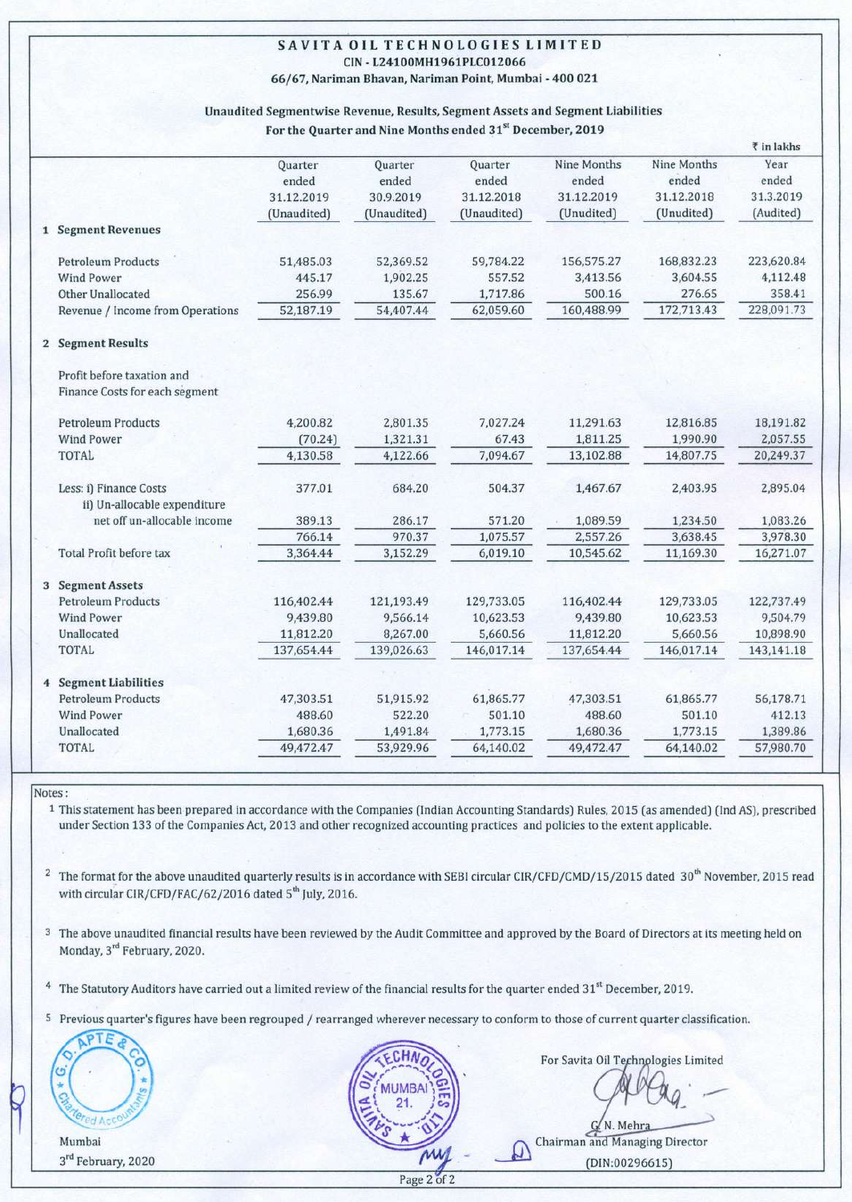## SAVITA OIL TECHNOLOGIES **LIMITED** CIN- L24100MH1961PLC012066

66/67, Nariman Bhavan, Nariman Point, Mumbai - 400 021

## Unaudited Segmentwise Revenue, Results, Segment Assets and Segment Liabilities

For the Quarter and Nine Months ended 31<sup>st</sup> December, 2019

|  |                                                              |             |             |                |             |             | ₹ in lakhs |
|--|--------------------------------------------------------------|-------------|-------------|----------------|-------------|-------------|------------|
|  |                                                              | Quarter     | Quarter     | <b>Ouarter</b> | Nine Months | Nine Months | Year       |
|  |                                                              | ended       | ended       | ended          | ended       | ended       | ended      |
|  |                                                              | 31.12.2019  | 30.9.2019   | 31.12.2018     | 31.12.2019  | 31.12.2018  | 31.3.2019  |
|  |                                                              | (Unaudited) | (Unaudited) | (Unaudited)    | (Unudited)  | (Unudited)  | (Audited)  |
|  | 1 Segment Revenues                                           |             |             |                |             |             |            |
|  | <b>Petroleum Products</b>                                    | 51,485.03   | 52,369.52   | 59,784.22      | 156,575.27  | 168,832.23  | 223,620.84 |
|  | <b>Wind Power</b>                                            | 445.17      | 1,902.25    | 557.52         | 3,413.56    | 3,604.55    | 4,112.48   |
|  | Other Unallocated                                            | 256.99      | 135.67      | 1,717.86       | 500.16      | 276.65      | 358.41     |
|  | Revenue / Income from Operations                             | 52,187.19   | 54,407.44   | 62,059.60      | 160,488.99  | 172,713.43  | 228,091.73 |
|  | 2 Segment Results                                            |             |             |                |             |             |            |
|  | Profit before taxation and<br>Finance Costs for each segment |             |             |                |             |             |            |
|  | <b>Petroleum Products</b>                                    | 4,200.82    | 2,801.35    | 7,027.24       | 11,291.63   | 12,816.85   | 18,191.82  |
|  | <b>Wind Power</b>                                            | (70.24)     | 1,321.31    | 67.43          | 1,811.25    | 1,990.90    | 2,057.55   |
|  | <b>TOTAL</b>                                                 | 4,130.58    | 4,122.66    | 7,094.67       | 13,102.88   | 14,807.75   | 20,249.37  |
|  | Less: i) Finance Costs<br>ii) Un-allocable expenditure       | 377.01      | 684.20      | 504.37         | 1,467.67    | 2,403.95    | 2,895.04   |
|  | net off un-allocable income                                  | 389.13      | 286.17      | 571.20         | 1,089.59    | 1,234.50    | 1,083.26   |
|  |                                                              | 766.14      | 970.37      | 1,075.57       | 2,557.26    | 3,638.45    | 3,978.30   |
|  | <b>Total Profit before tax</b>                               | 3,364.44    | 3,152.29    | 6,019.10       | 10,545.62   | 11,169.30   | 16,271.07  |
|  | 3 Segment Assets                                             |             |             |                |             |             |            |
|  | <b>Petroleum Products</b>                                    | 116,402.44  | 121,193.49  | 129,733.05     | 116,402.44  | 129,733.05  | 122,737.49 |
|  | <b>Wind Power</b>                                            | 9,439.80    | 9,566.14    | 10,623.53      | 9,439.80    | 10,623.53   | 9,504.79   |
|  | Unallocated                                                  | 11,812.20   | 8,267.00    | 5,660.56       | 11,812.20   | 5,660.56    | 10,898.90  |
|  | TOTAL                                                        | 137,654.44  | 139,026.63  | 146,017.14     | 137,654.44  | 146,017.14  | 143,141.18 |
|  | 4 Segment Liabilities                                        |             |             |                |             |             |            |
|  | <b>Petroleum Products</b>                                    | 47,303.51   | 51,915.92   | 61,865.77      | 47,303.51   | 61,865.77   | 56,178.71  |
|  | <b>Wind Power</b>                                            | 488.60      | 522.20      | 501.10         | 488.60      | 501.10      | 412.13     |
|  | Unallocated                                                  | 1,680.36    | 1,491.84    | 1,773.15       | 1,680.36    | 1,773.15    | 1,389.86   |
|  | <b>TOTAL</b>                                                 | 49,472.47   | 53,929.96   | 64,140.02      | 49,472.47   | 64,140.02   | 57,980.70  |
|  |                                                              |             |             |                |             |             |            |

Notes:

1 This statement has been prepared in accordance with the Companies (Indian Accounting Standards) Rules, 2015 (as amended) (Ind AS), prescribed under Section 133 of the Companies Act, 2013 and other recognized accounting practices and policies to the extent applicable.

<sup>2</sup> The format for the above unaudited quarterly results is in accordance with SEBI circular CIR/CFD/CMD/15/2015 dated 30<sup>th</sup> November, 2015 read with circular CIR/CFD/FAC/62/2016 dated 5<sup>th</sup> July, 2016.

3 The above unaudited financial results have been reviewed by the Audit Committee and approved by the Board of Directors at its meeting held on Monday, 3<sup>ra</sup> February, 2020.

 $4$  The Statutory Auditors have carried out a limited review of the financial results for the quarter ended  $31<sup>st</sup>$  December, 2019

5 Previous quarter's figures have been regrouped / rearranged wherever necessary to conform to those of current quarter classification.



Mumbai 3<sup>rd</sup> February, 2020



For Savita Oil Technologies Limited

 $G/N.$  Mehra<br>Chairman and Managing Director (DIN:00296615)